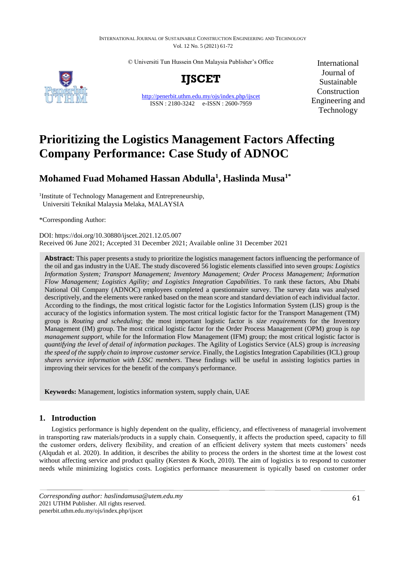#### INTERNATIONAL JOURNAL OF SUSTAINABLE CONSTRUCTION ENGINEERING AND TECHNOLOGY Vol. 12 No. 5 (2021) 61-72

© Universiti Tun Hussein Onn Malaysia Publisher's Office



**IJSCET**

<http://penerbit.uthm.edu.my/ojs/index.php/ijscet> ISSN : 2180-3242 e-ISSN : 2600-7959

International Journal of Sustainable Construction Engineering and Technology

# **Prioritizing the Logistics Management Factors Affecting Company Performance: Case Study of ADNOC**

# **Mohamed Fuad Mohamed Hassan Abdulla<sup>1</sup> , Haslinda Musa1\***

<sup>1</sup>Institute of Technology Management and Entrepreneurship, Universiti Teknikal Malaysia Melaka, MALAYSIA

\*Corresponding Author:

DOI: https://doi.org/10.30880/ijscet.2021.12.05.007 Received 06 June 2021; Accepted 31 December 2021; Available online 31 December 2021

**Abstract:** This paper presents a study to prioritize the logistics management factors influencing the performance of the oil and gas industry in the UAE. The study discovered 56 logistic elements classified into seven groups: *Logistics Information System; Transport Management; Inventory Management; Order Process Management; Information Flow Management; Logistics Agility; and Logistics Integration Capabilities*. To rank these factors, Abu Dhabi National Oil Company (ADNOC) employees completed a questionnaire survey. The survey data was analysed descriptively, and the elements were ranked based on the mean score and standard deviation of each individual factor. According to the findings, the most critical logistic factor for the Logistics Information System (LIS) group is the accuracy of the logistics information system. The most critical logistic factor for the Transport Management (TM) group is *Routing and scheduling*; the most important logistic factor is *size requirements* for the Inventory Management (IM) group. The most critical logistic factor for the Order Process Management (OPM) group is *top management support*, while for the Information Flow Management (IFM) group; the most critical logistic factor is *quantifying the level of detail of information packages*. The Agility of Logistics Service (ALS) group is *increasing the speed of the supply chain to improve customer service*. Finally, the Logistics Integration Capabilities (ICL) group *shares service information with LSSC members*. These findings will be useful in assisting logistics parties in improving their services for the benefit of the company's performance.

**Keywords:** Management, logistics information system, supply chain, UAE

# **1. Introduction**

Logistics performance is highly dependent on the quality, efficiency, and effectiveness of managerial involvement in transporting raw materials/products in a supply chain. Consequently, it affects the production speed, capacity to fill the customer orders, delivery flexibility, and creation of an efficient delivery system that meets customers<sup>'</sup> needs  $(A$ lqudah et al. 2020). In addition, it describes the ability to process the orders in the shortest time at the lowest cost without affecting service and product quality (Kersten & Koch, 2010). The aim of logistics is to respond to customer needs while minimizing logistics costs. Logistics performance measurement is typically based on customer order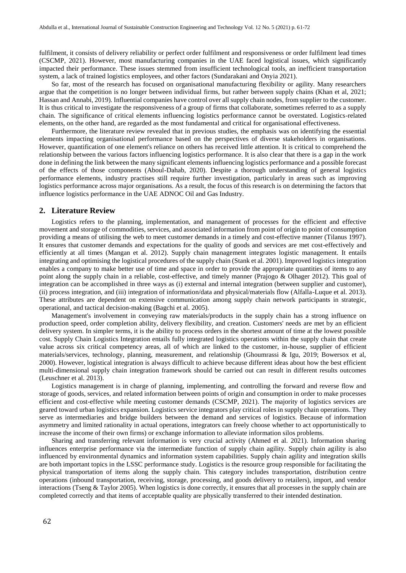fulfilment, it consists of delivery reliability or perfect order fulfilment and responsiveness or order fulfilment lead times (CSCMP, 2021). However, most manufacturing companies in the UAE faced logistical issues, which significantly impacted their performance. These issues stemmed from insufficient technological tools, an inefficient transportation system, a lack of trained logistics employees, and other factors (Sundarakani and Onyia 2021).

So far, most of the research has focused on organisational manufacturing flexibility or agility. Many researchers argue that the competition is no longer between individual firms, but rather between supply chains (Khan et al, 2021; Hassan and Annabi, 2019). Influential companies have control over all supply chain nodes, from supplier to the customer. It is thus critical to investigate the responsiveness of a group of firms that collaborate, sometimes referred to as a supply chain. The significance of critical elements influencing logistics performance cannot be overstated. Logistics-related elements, on the other hand, are regarded as the most fundamental and critical for organisational effectiveness.

Furthermore, the literature review revealed that in previous studies, the emphasis was on identifying the essential elements impacting organisational performance based on the perspectives of diverse stakeholders in organisations. However, quantification of one element's reliance on others has received little attention. It is critical to comprehend the relationship between the various factors influencing logistics performance. It is also clear that there is a gap in the work done in defining the link between the many significant elements influencing logistics performance and a possible forecast of the effects of those components (Aboul-Dahab, 2020). Despite a thorough understanding of general logistics performance elements, industry practises still require further investigation, particularly in areas such as improving logistics performance across major organisations. As a result, the focus of this research is on determining the factors that influence logistics performance in the UAE ADNOC Oil and Gas Industry.

#### **2. Literature Review**

Logistics refers to the planning, implementation, and management of processes for the efficient and effective movement and storage of commodities, services, and associated information from point of origin to point of consumption providing a means of utilising the web to meet customer demands in a timely and cost-effective manner (Tilanus 1997). It ensures that customer demands and expectations for the quality of goods and services are met cost-effectively and efficiently at all times (Mangan et al. 2012). Supply chain management integrates logistic management. It entails integrating and optimising the logistical procedures of the supply chain (Stank et al. 2001). Improved logistics integration enables a company to make better use of time and space in order to provide the appropriate quantities of items to any point along the supply chain in a reliable, cost-effective, and timely manner (Prajogo & Olhager 2012). This goal of integration can be accomplished in three ways as (i) external and internal integration (between supplier and customer), (ii) process integration, and (iii) integration of information/data and physical/materials flow (Alfalla-Luque et al. 2013). These attributes are dependent on extensive communication among supply chain network participants in strategic, operational, and tactical decision-making (Bagchi et al. 2005).

Management's involvement in conveying raw materials/products in the supply chain has a strong influence on production speed, order completion ability, delivery flexibility, and creation. Customers' needs are met by an efficient delivery system. In simpler terms, it is the ability to process orders in the shortest amount of time at the lowest possible cost. Supply Chain Logistics Integration entails fully integrated logistics operations within the supply chain that create value across six critical competency areas, all of which are linked to the customer, in-house, supplier of efficient materials/services, technology, planning, measurement, and relationship (Ghoumrassi & Igu, 2019; Bowersox et al, 2000). However, logistical integration is always difficult to achieve because different ideas about how the best efficient multi-dimensional supply chain integration framework should be carried out can result in different results outcomes (Leuschner et al. 2013).

Logistics management is in charge of planning, implementing, and controlling the forward and reverse flow and storage of goods, services, and related information between points of origin and consumption in order to make processes efficient and cost-effective while meeting customer demands (CSCMP, 2021). The majority of logistics services are geared toward urban logistics expansion. Logistics service integrators play critical roles in supply chain operations. They serve as intermediaries and bridge builders between the demand and services of logistics. Because of information asymmetry and limited rationality in actual operations, integrators can freely choose whether to act opportunistically to increase the income of their own firms) or exchange information to alleviate information silos problems.

Sharing and transferring relevant information is very crucial activity (Ahmed et al. 2021). Information sharing influences enterprise performance via the intermediate function of supply chain agility. Supply chain agility is also influenced by environmental dynamics and information system capabilities. Supply chain agility and integration skills are both important topics in the LSSC performance study. Logistics is the resource group responsible for facilitating the physical transportation of items along the supply chain. This category includes transportation, distribution centre operations (inbound transportation, receiving, storage, processing, and goods delivery to retailers), import, and vendor interactions (Tseng  $&$  Taylor 2005). When logistics is done correctly, it ensures that all processes in the supply chain are completed correctly and that items of acceptable quality are physically transferred to their intended destination.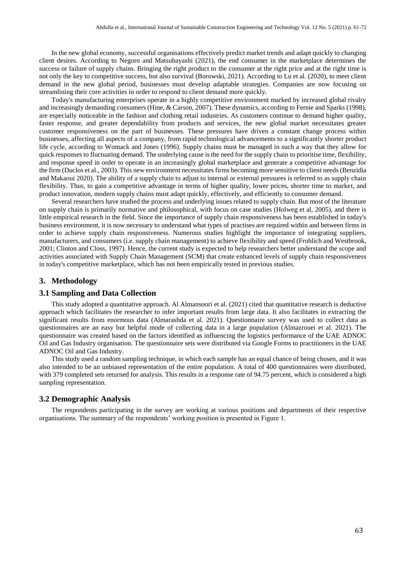In the new global economy, successful organisations effectively predict market trends and adapt quickly to changing client desires. According to Negoro and Matsubayashi (2021), the end consumer in the marketplace determines the success or failure of supply chains. Bringing the right product to the consumer at the right price and at the right time is not only the key to competitive success, but also survival (Borowski, 2021). According to Lu et al. (2020), to meet client demand in the new global period, businesses must develop adaptable strategies. Companies are now focusing on streamlining their core activities in order to respond to client demand more quickly.

Today's manufacturing enterprises operate in a highly competitive environment marked by increased global rivalry and increasingly demanding consumers (Hine, & Carson, 2007). These dynamics, according to Fernie and Sparks (1998), are especially noticeable in the fashion and clothing retail industries. As customers continue to demand higher quality, faster response, and greater dependability from products and services, the new global market necessitates greater customer responsiveness on the part of businesses. These pressures have driven a constant change process within businesses, affecting all aspects of a company, from rapid technological advancements to a significantly shorter product life cycle, according to Womack and Jones (1996). Supply chains must be managed in such a way that they allow for quick responses to fluctuating demand. The underlying cause is the need for the supply chain to prioritise time, flexibility, and response speed in order to operate in an increasingly global marketplace and generate a competitive advantage for the firm (Duclos et al., 2003). This new environment necessitates firms becoming more sensitive to client needs (Benzidia and Makaoui 2020). The ability of a supply chain to adjust to internal or external pressures is referred to as supply chain flexibility. Thus, to gain a competitive advantage in terms of higher quality, lower prices, shorter time to market, and product innovation, modern supply chains must adapt quickly, effectively, and efficiently to consumer demand.

Several researchers have studied the process and underlying issues related to supply chain. But most of the literature on supply chain is primarily normative and philosophical, with focus on case studies (Holweg et al, 2005), and there is little empirical research in the field. Since the importance of supply chain responsiveness has been established in today's business environment, it is now necessary to understand what types of practises are required within and between firms in order to achieve supply chain responsiveness. Numerous studies highlight the importance of integrating suppliers, manufacturers, and consumers (i.e. supply chain management) to achieve flexibility and speed (Frohlich and Westbrook, 2001; Clinton and Closs, 1997). Hence, the current study is expected to help researchers better understand the scope and activities associated with Supply Chain Management (SCM) that create enhanced levels of supply chain responsiveness in today's competitive marketplace, which has not been empirically tested in previous studies.

#### **3. Methodology**

#### **3.1 Sampling and Data Collection**

This study adopted a quantitative approach. Al Almansoori et al. (2021) cited that quantitative research is deductive approach which facilitates the researcher to infer important results from large data. It also facilitates in extracting the significant results from enormous data (Almarashda et al. 2021). Questionnaire survey was used to collect data as questionnaires are an easy but helpful mode of collecting data in a large population (Almazrouei et al. 2021). The questionnaire was created based on the factors identified as influencing the logistics performance of the UAE ADNOC Oil and Gas Industry organisation. The questionnaire sets were distributed via Google Forms to practitioners in the UAE ADNOC Oil and Gas Industry.

This study used a random sampling technique, in which each sample has an equal chance of being chosen, and it was also intended to be an unbiased representation of the entire population. A total of 400 questionnaires were distributed, with 379 completed sets returned for analysis. This results in a response rate of 94.75 percent, which is considered a high sampling representation.

# **3.2 Demographic Analysis**

The respondents participating in the survey are working at various positions and departments of their respective organisations. The summary of the respondents' working position is presented in Figure 1.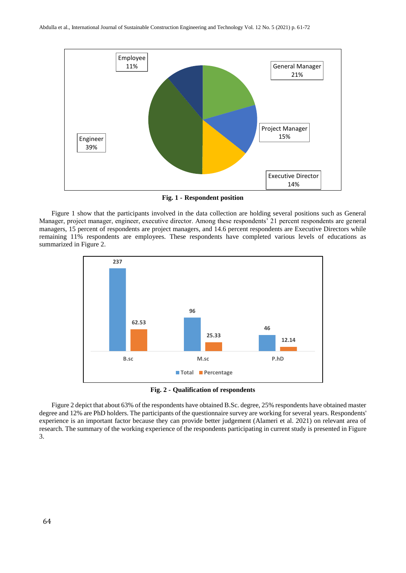

**Fig. 1 - Respondent position**

Figure 1 show that the participants involved in the data collection are holding several positions such as General Manager, project manager, engineer, executive director. Among these respondents' 21 percent respondents are general managers, 15 percent of respondents are project managers, and 14.6 percent respondents are Executive Directors while remaining 11% respondents are employees. These respondents have completed various levels of educations as summarized in Figure 2.



**Fig. 2 - Qualification of respondents**

Figure 2 depict that about 63% of the respondents have obtained B.Sc. degree, 25% respondents have obtained master degree and 12% are PhD holders. The participants of the questionnaire survey are working for several years. Respondents' experience is an important factor because they can provide better judgement (Alameri et al. 2021) on relevant area of research. The summary of the working experience of the respondents participating in current study is presented in Figure 3.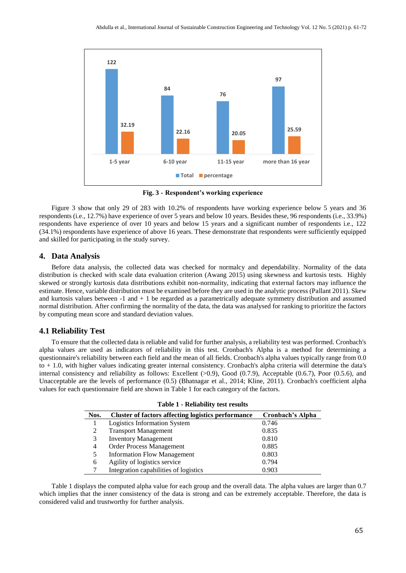

**Fig. 3 - Respondent's working experience**

Figure 3 show that only 29 of 283 with 10.2% of respondents have working experience below 5 years and 36 respondents (i.e., 12.7%) have experience of over 5 years and below 10 years. Besides these, 96 respondents (i.e., 33.9%) respondents have experience of over 10 years and below 15 years and a significant number of respondents i.e., 122 (34.1%) respondents have experience of above 16 years. These demonstrate that respondents were sufficiently equipped and skilled for participating in the study survey.

#### **4. Data Analysis**

Before data analysis, the collected data was checked for normalcy and dependability. Normality of the data distribution is checked with scale data evaluation criterion (Awang 2015) using skewness and kurtosis tests. Highly skewed or strongly kurtosis data distributions exhibit non-normality, indicating that external factors may influence the estimate. Hence, variable distribution must be examined before they are used in the analytic process (Pallant 2011). Skew and kurtosis values between  $-1$  and  $+1$  be regarded as a parametrically adequate symmetry distribution and assumed normal distribution. After confirming the normality of the data, the data was analysed for ranking to prioritize the factors by computing mean score and standard deviation values.

#### **4.1 Reliability Test**

To ensure that the collected data is reliable and valid for further analysis, a reliability test was performed. Cronbach's alpha values are used as indicators of reliability in this test. Cronbach's Alpha is a method for determining a questionnaire's reliability between each field and the mean of all fields. Cronbach's alpha values typically range from 0.0 to + 1.0, with higher values indicating greater internal consistency. Cronbach's alpha criteria will determine the data's internal consistency and reliability as follows: Excellent  $(>0.9)$ , Good  $(0.7.9)$ , Acceptable  $(0.6.7)$ , Poor  $(0.5.6)$ , and Unacceptable are the levels of performance (0.5) (Bhatnagar et al., 2014; Kline, 2011). Cronbach's coefficient alpha values for each questionnaire field are shown in Table 1 for each category of the factors.

| Nos. | <b>Cluster of factors affecting logistics performance</b> | <b>Cronbach's Alpha</b> |  |  |  |  |  |
|------|-----------------------------------------------------------|-------------------------|--|--|--|--|--|
|      | Logistics Information System                              | 0.746                   |  |  |  |  |  |
|      | <b>Transport Management</b>                               | 0.835                   |  |  |  |  |  |
| 3    | <b>Inventory Management</b>                               | 0.810                   |  |  |  |  |  |
| 4    | Order Process Management                                  | 0.885                   |  |  |  |  |  |
|      | <b>Information Flow Management</b>                        | 0.803                   |  |  |  |  |  |
| 6    | Agility of logistics service                              | 0.794                   |  |  |  |  |  |
|      | Integration capabilities of logistics                     | 0.903                   |  |  |  |  |  |

|  |  | <b>Table 1 - Reliability test results</b> |  |  |
|--|--|-------------------------------------------|--|--|
|--|--|-------------------------------------------|--|--|

Table 1 displays the computed alpha value for each group and the overall data. The alpha values are larger than 0.7 which implies that the inner consistency of the data is strong and can be extremely acceptable. Therefore, the data is considered valid and trustworthy for further analysis.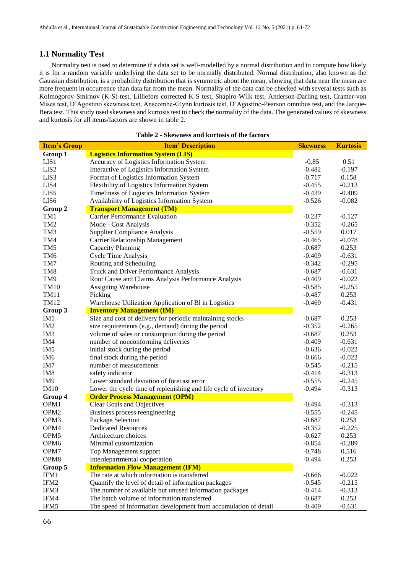### **1.1 Normality Test**

Normality test is used to determine if a data set is well-modelled by a normal distribution and to compute how likely it is for a random variable underlying the data set to be normally distributed. Normal distribution, also known as the Gaussian distribution, is a probability distribution that is symmetric about the mean, showing that data near the mean are more frequent in occurrence than data far from the mean. Normality of the data can be checked with several tests such as Kolmogorov-Smirnov (K-S) test, Lilliefors corrected K-S test, Shapiro-Wilk test, Anderson-Darling test, Cramer-von Mises test, D'Agostino skewness test, Anscombe-Glynn kurtosis test, D'Agostino-Pearson omnibus test, and the Jarque-Bera test. This study used skewness and kurtosis test to check the normality of the data. The generated values of skewness and kurtosis for all items/factors are shown in table 2.

| <b>Item's Group</b> | <b>Item' Description</b>                                                                 | <b>Skewness</b> | <b>Kurtosis</b> |
|---------------------|------------------------------------------------------------------------------------------|-----------------|-----------------|
| Group 1             | <b>Logistics Information System (LIS)</b>                                                |                 |                 |
| LIS1                | Accuracy of Logistics Information System                                                 | $-0.85$         | 0.51            |
| LIS <sub>2</sub>    | Interactive of Logistics Information System                                              | $-0.482$        | $-0.197$        |
| LIS <sub>3</sub>    | Format of Logistics Information System                                                   | $-0.717$        | 0.158           |
| LIS4                | Flexibility of Logistics Information System                                              | $-0.455$        | $-0.213$        |
| LIS5                | Timeliness of Logistics Information System                                               | $-0.439$        | $-0.409$        |
| LIS <sub>6</sub>    | Availability of Logistics Information System                                             | $-0.526$        | $-0.082$        |
| Group 2             | <b>Transport Management (TM)</b>                                                         |                 |                 |
| TM1                 | <b>Carrier Performance Evaluation</b>                                                    | $-0.237$        | $-0.127$        |
|                     |                                                                                          | $-0.352$        |                 |
| TM <sub>2</sub>     | Mode - Cost Analysis                                                                     |                 | $-0.265$        |
| TM <sub>3</sub>     | <b>Supplier Compliance Analysis</b>                                                      | $-0.559$        | 0.017           |
| TM4                 | <b>Carrier Relationship Management</b>                                                   | $-0.465$        | $-0.078$        |
| TM <sub>5</sub>     | <b>Capacity Planning</b>                                                                 | $-0.687$        | 0.253           |
| TM <sub>6</sub>     | Cycle Time Analysis                                                                      | $-0.409$        | $-0.631$        |
| TM7                 | Routing and Scheduling                                                                   | $-0.342$        | $-0.295$        |
| TM <sub>8</sub>     | Truck and Driver Performance Analysis                                                    | $-0.687$        | $-0.631$        |
| TM9                 | Root Cause and Claims Analysis Performance Analysis                                      | $-0.409$        | $-0.022$        |
| <b>TM10</b>         | Assigning Warehouse                                                                      | $-0.585$        | $-0.255$        |
| <b>TM11</b>         | Picking                                                                                  | $-0.487$        | 0.253           |
| <b>TM12</b>         | Warehouse Utilization Application of Bl in Logistics                                     | $-0.469$        | $-0.431$        |
| Group 3             | <b>Inventory Management (IM)</b>                                                         |                 |                 |
| IM <sub>1</sub>     | Size and cost of delivery for periodic maintaining stocks                                | $-0.687$        | 0.253           |
| IM <sub>2</sub>     | size requirements (e.g., demand) during the period                                       | $-0.352$        | $-0.265$        |
| IM <sub>3</sub>     | volume of sales or consumption during the period                                         | $-0.687$        | 0.253           |
| IM4                 | number of nonconforming deliveries                                                       | $-0.409$        | $-0.631$        |
| IM <sub>5</sub>     | initial stock during the period                                                          | $-0.636$        | $-0.022$        |
| IM <sub>6</sub>     | final stock during the period                                                            | $-0.666$        | $-0.022$        |
| IM7                 | number of measurements                                                                   | $-0.545$        | $-0.215$        |
| IM <sub>8</sub>     | safety indicator                                                                         | $-0.414$        | $-0.313$        |
| IM <sub>9</sub>     | Lower standard deviation of forecast error                                               | $-0.555$        | $-0.245$        |
| IM10                | Lower the cycle time of replenishing and life cycle of inventory                         | $-0.494$        | $-0.313$        |
| Group 4             | <b>Order Process Management (OPM)</b>                                                    |                 |                 |
| OPM1                | Clear Goals and Objectives                                                               | $-0.494$        | $-0.313$        |
| OPM <sub>2</sub>    | Business process reengineering                                                           | $-0.555$        | $-0.245$        |
| OPM3                | Package Selection                                                                        | $-0.687$        | 0.253           |
| OPM4                | <b>Dedicated Resources</b>                                                               | $-0.352$        | $-0.225$        |
| OPM <sub>5</sub>    | Architecture choices                                                                     | $-0.627$        | 0.253           |
| OPM <sub>6</sub>    | Minimal customization                                                                    | $-0.854$        | $-0.289$        |
| OPM7                | Top Management support                                                                   | $-0.748$        | 0.516           |
| OPM8                | Interdepartmental cooperation                                                            | $-0.494$        | 0.253           |
|                     |                                                                                          |                 |                 |
| Group 5             | <b>Information Flow Management (IFM)</b><br>The rate at which information is transferred |                 |                 |
| IFM1                |                                                                                          | $-0.666$        | $-0.022$        |
| IFM2                | Quantify the level of detail of information packages                                     | $-0.545$        | $-0.215$        |
| IFM3                | The number of available but unused information packages                                  | $-0.414$        | $-0.313$        |
| IFM4                | The batch volume of information transferred                                              | $-0.687$        | 0.253           |
| IFM5                | The speed of information development from accumulation of detail                         | $-0.409$        | $-0.631$        |

**Table 2 - Skewness and kurtosis of the factors**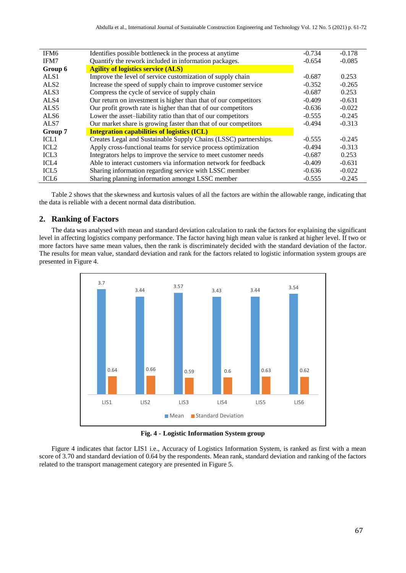| IFM <sub>6</sub> | Identifies possible bottleneck in the process at anytime         | $-0.734$ | $-0.178$ |
|------------------|------------------------------------------------------------------|----------|----------|
| IFM7             | Quantify the rework included in information packages.            | $-0.654$ | $-0.085$ |
| Group 6          | <b>Agility of logistics service (ALS)</b>                        |          |          |
| ALS1             | Improve the level of service customization of supply chain       | $-0.687$ | 0.253    |
| ALS <sub>2</sub> | Increase the speed of supply chain to improve customer service   | $-0.352$ | $-0.265$ |
| ALS3             | Compress the cycle of service of supply chain                    | $-0.687$ | 0.253    |
| ALS4             | Our return on investment is higher than that of our competitors  | $-0.409$ | $-0.631$ |
| ALS <sub>5</sub> | Our profit growth rate is higher than that of our competitors    | $-0.636$ | $-0.022$ |
| ALS <sub>6</sub> | Lower the asset-liability ratio than that of our competitors     | $-0.555$ | $-0.245$ |
| ALS7             | Our market share is growing faster than that of our competitors  | $-0.494$ | $-0.313$ |
| Group 7          | <b>Integration capabilities of logistics (ICL)</b>               |          |          |
| ICL <sub>1</sub> | Creates Legal and Sustainable Supply Chains (LSSC) partnerships. | $-0.555$ | $-0.245$ |
| ICL <sub>2</sub> | Apply cross-functional teams for service process optimization    | $-0.494$ | $-0.313$ |
| ICL <sub>3</sub> | Integrators helps to improve the service to meet customer needs  | $-0.687$ | 0.253    |
| ICL <sub>4</sub> | Able to interact customers via information network for feedback  | $-0.409$ | $-0.631$ |
| ICL <sub>5</sub> | Sharing information regarding service with LSSC member           | $-0.636$ | $-0.022$ |
| ICL <sub>6</sub> | Sharing planning information amongst LSSC member                 | $-0.555$ | $-0.245$ |

Table 2 shows that the skewness and kurtosis values of all the factors are within the allowable range, indicating that the data is reliable with a decent normal data distribution.

# **2. Ranking of Factors**

The data was analysed with mean and standard deviation calculation to rank the factors for explaining the significant level in affecting logistics company performance. The factor having high mean value is ranked at higher level. If two or more factors have same mean values, then the rank is discriminately decided with the standard deviation of the factor. The results for mean value, standard deviation and rank for the factors related to logistic information system groups are presented in Figure 4.



**Fig. 4 - Logistic Information System group**

Figure 4 indicates that factor LIS1 i.e., Accuracy of Logistics Information System, is ranked as first with a mean score of 3.70 and standard deviation of 0.64 by the respondents. Mean rank, standard deviation and ranking of the factors related to the transport management category are presented in Figure 5.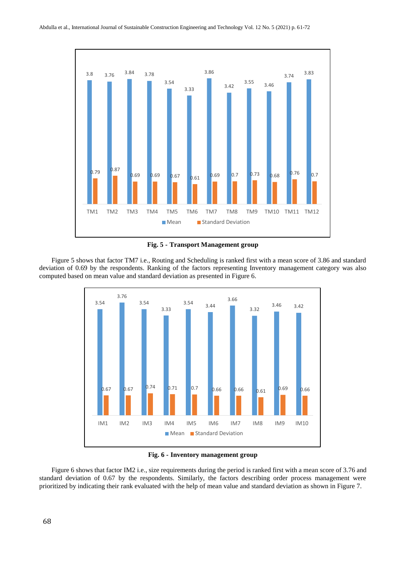



Figure 5 shows that factor TM7 i.e., Routing and Scheduling is ranked first with a mean score of 3.86 and standard deviation of 0.69 by the respondents. Ranking of the factors representing Inventory management category was also computed based on mean value and standard deviation as presented in Figure 6.

![](_page_7_Figure_4.jpeg)

**Fig. 6 - Inventory management group**

Figure 6 shows that factor IM2 i.e., size requirements during the period is ranked first with a mean score of 3.76 and standard deviation of 0.67 by the respondents. Similarly, the factors describing order process management were prioritized by indicating their rank evaluated with the help of mean value and standard deviation as shown in Figure 7.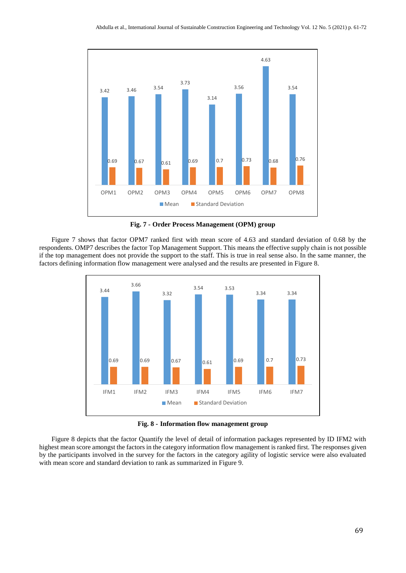![](_page_8_Figure_1.jpeg)

**Fig. 7 - Order Process Management (OPM) group**

Figure 7 shows that factor OPM7 ranked first with mean score of 4.63 and standard deviation of 0.68 by the respondents. OMP7 describes the factor Top Management Support. This means the effective supply chain is not possible if the top management does not provide the support to the staff. This is true in real sense also. In the same manner, the factors defining information flow management were analysed and the results are presented in Figure 8.

![](_page_8_Figure_4.jpeg)

**Fig. 8 - Information flow management group**

Figure 8 depicts that the factor Quantify the level of detail of information packages represented by ID IFM2 with highest mean score amongst the factors in the category information flow management is ranked first. The responses given by the participants involved in the survey for the factors in the category agility of logistic service were also evaluated with mean score and standard deviation to rank as summarized in Figure 9.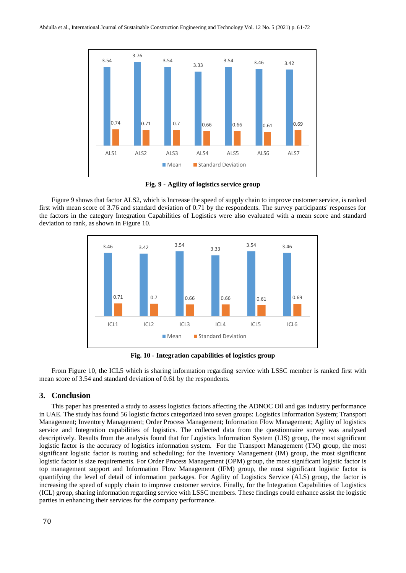![](_page_9_Figure_1.jpeg)

**Fig. 9 - Agility of logistics service group**

Figure 9 shows that factor ALS2, which is Increase the speed of supply chain to improve customer service, is ranked first with mean score of 3.76 and standard deviation of 0.71 by the respondents. The survey participants' responses for the factors in the category Integration Capabilities of Logistics were also evaluated with a mean score and standard deviation to rank, as shown in Figure 10.

![](_page_9_Figure_4.jpeg)

**Fig. 10 - Integration capabilities of logistics group**

From Figure 10, the ICL5 which is sharing information regarding service with LSSC member is ranked first with mean score of 3.54 and standard deviation of 0.61 by the respondents.

#### **3. Conclusion**

This paper has presented a study to assess logistics factors affecting the ADNOC Oil and gas industry performance in UAE. The study has found 56 logistic factors categorized into seven groups: Logistics Information System; Transport Management; Inventory Management; Order Process Management; Information Flow Management; Agility of logistics service and Integration capabilities of logistics. The collected data from the questionnaire survey was analysed descriptively. Results from the analysis found that for Logistics Information System (LIS) group, the most significant logistic factor is the accuracy of logistics information system. For the Transport Management (TM) group, the most significant logistic factor is routing and scheduling; for the Inventory Management (IM) group, the most significant logistic factor is size requirements. For Order Process Management (OPM) group, the most significant logistic factor is top management support and Information Flow Management (IFM) group, the most significant logistic factor is quantifying the level of detail of information packages. For Agility of Logistics Service (ALS) group, the factor is increasing the speed of supply chain to improve customer service. Finally, for the Integration Capabilities of Logistics (ICL) group, sharing information regarding service with LSSC members. These findings could enhance assist the logistic parties in enhancing their services for the company performance.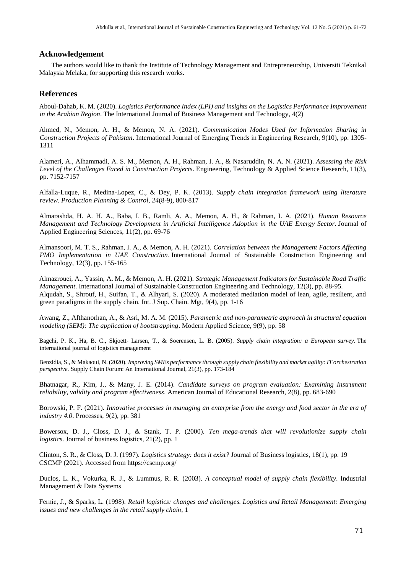#### **Acknowledgement**

The authors would like to thank the Institute of Technology Management and Entrepreneurship, Universiti Teknikal Malaysia Melaka, for supporting this research works.

### **References**

Aboul-Dahab, K. M. (2020). *Logistics Performance Index (LPI) and insights on the Logistics Performance Improvement in the Arabian Region*. The International Journal of Business Management and Technology, 4(2)

Ahmed, N., Memon, A. H., & Memon, N. A. (2021). *Communication Modes Used for Information Sharing in Construction Projects of Pakistan*. International Journal of Emerging Trends in Engineering Research, 9(10), pp. 1305- 1311

Alameri, A., Alhammadi, A. S. M., Memon, A. H., Rahman, I. A., & Nasaruddin, N. A. N. (2021). *Assessing the Risk Level of the Challenges Faced in Construction Projects*. Engineering, Technology & Applied Science Research, 11(3), pp. 7152-7157

Alfalla-Luque, R., Medina-Lopez, C., & Dey, P. K. (2013). *Supply chain integration framework using literature review*. *Production Planning & Control*, *24*(8-9), 800-817

Almarashda, H. A. H. A., Baba, I. B., Ramli, A. A., Memon, A. H., & Rahman, I. A. (2021). *Human Resource Management and Technology Development in Artificial Intelligence Adoption in the UAE Energy Sector*. Journal of Applied Engineering Sciences, 11(2), pp. 69-76

Almansoori, M. T. S., Rahman, I. A., & Memon, A. H. (2021). *Correlation between the Management Factors Affecting PMO Implementation in UAE Construction*. International Journal of Sustainable Construction Engineering and Technology, 12(3), pp. 155-165

Almazrouei, A., Yassin, A. M., & Memon, A. H. (2021). *Strategic Management Indicators for Sustainable Road Traffic Management*. International Journal of Sustainable Construction Engineering and Technology, 12(3), pp. 88-95. Alqudah, S., Shrouf, H., Suifan, T., & Alhyari, S. (2020). A moderated mediation model of lean, agile, resilient, and green paradigms in the supply chain. Int. J Sup. Chain. Mgt, 9(4), pp. 1-16

Awang, Z., Afthanorhan, A., & Asri, M. A. M. (2015). *Parametric and non-parametric approach in structural equation modeling (SEM): The application of bootstrapping*. Modern Applied Science, 9(9), pp. 58

Bagchi, P. K., Ha, B. C., Skjoett‐ Larsen, T., & Soerensen, L. B. (2005). *Supply chain integration: a European survey*. The international journal of logistics management

Benzidia, S., & Makaoui, N. (2020). *Improving SMEs performance through supply chain flexibility and market agility: IT orchestration perspective*. Supply Chain Forum: An International Journal, 21(3), pp. 173-184

Bhatnagar, R., Kim, J., & Many, J. E. (2014). *Candidate surveys on program evaluation: Examining Instrument reliability, validity and program effectiveness*. American Journal of Educational Research, 2(8), pp. 683-690

Borowski, P. F. (2021). *Innovative processes in managing an enterprise from the energy and food sector in the era of industry 4.0*. Processes, 9(2), pp. 381

Bowersox, D. J., Closs, D. J., & Stank, T. P. (2000). *Ten mega-trends that will revolutionize supply chain logistics*. Journal of business logistics, 21(2), pp. 1

Clinton, S. R., & Closs, D. J. (1997). *Logistics strategy: does it exist?* Journal of Business logistics, 18(1), pp. 19 CSCMP (2021). Accessed from<https://cscmp.org/>

Duclos, L. K., Vokurka, R. J., & Lummus, R. R. (2003). *A conceptual model of supply chain flexibility*. Industrial Management & Data Systems

Fernie, J., & Sparks, L. (1998). *Retail logistics: changes and challenges. Logistics and Retail Management: Emerging issues and new challenges in the retail supply chain*, 1